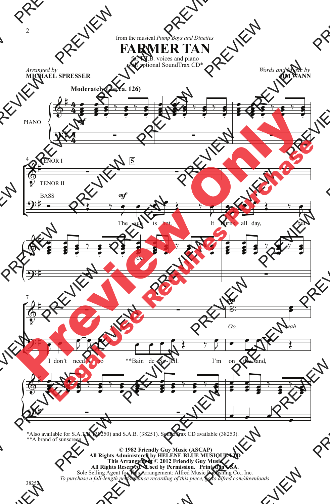## for T.T.B. voices and piano with optional SoundTrax CD\* **FARMER TAN**

*Words and Music by* **JIM WANN**



*\**Also available for S.A.T.B. (38250) and S.A.B. (38251). SoundTrax CD available (38253). *\*\**A brand of sunscreen.

> **© 1982 Friendly Guy Music (ASCAP) All Rights Administered by HELENE BLUE MUSIQUE LTD This Arrangement © 2012 Friendly Guy Music All Rights Reserved. Used by Permission. Printed in USA.** Sole Selling Agent for This Arrangement: Alfred Music Publishing Co., Inc. *To purchase a full-length performance recording of this piece, go to alfred.com/downloads*

*Arranged by*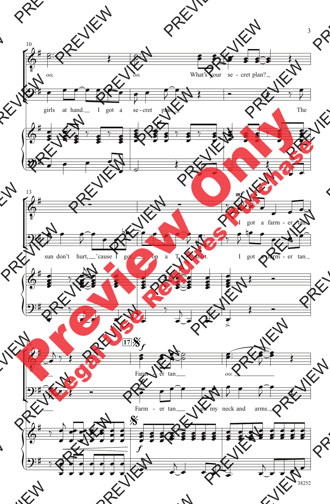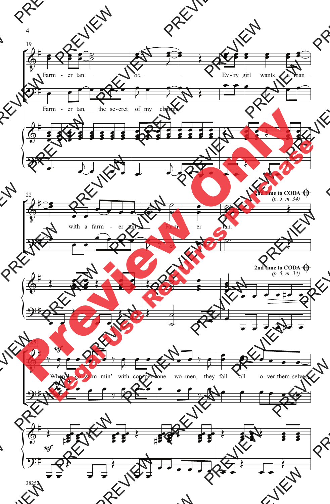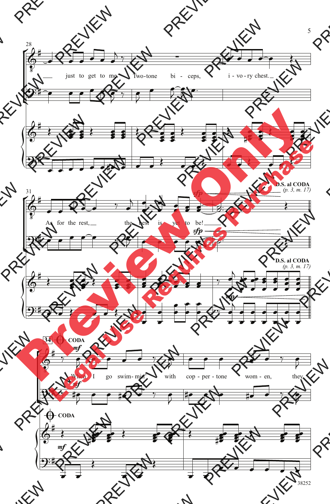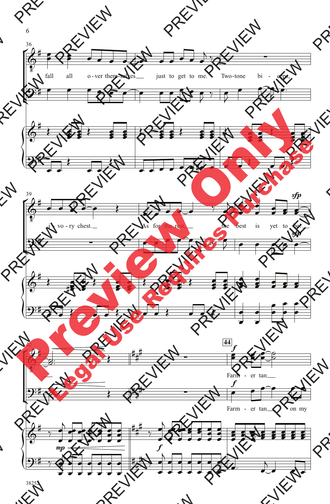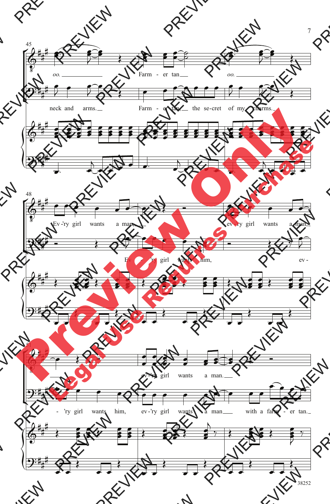